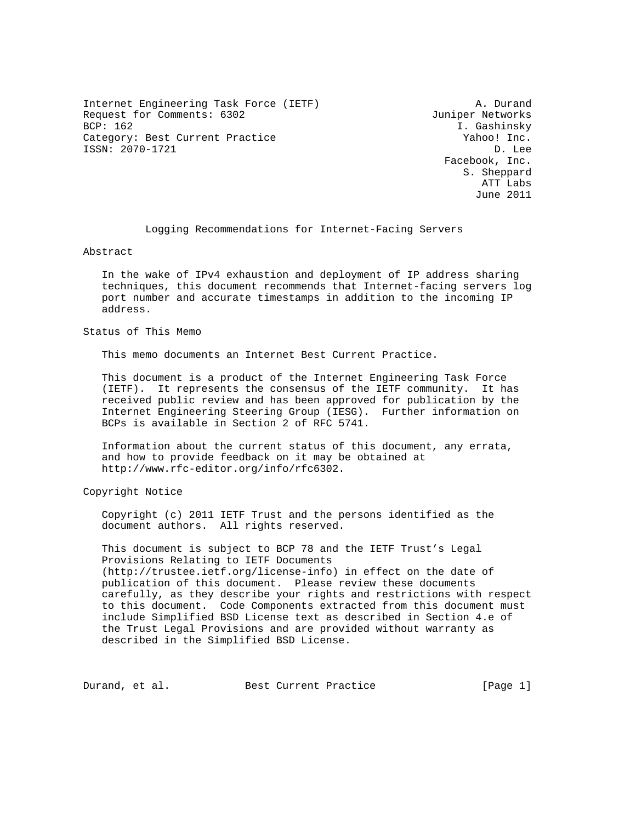Internet Engineering Task Force (IETF) A. Durand Request for Comments: 6302 Juniper Networks<br>BCP: 162 Juniper Networks Category: Best Current Practice The Category: Best Current Practice The Category: Best Current Practice ISSN: 2070-1721 D. Lee

I. Gashinsky Facebook, Inc. S. Sheppard ATT Labs June 2011

Logging Recommendations for Internet-Facing Servers

## Abstract

 In the wake of IPv4 exhaustion and deployment of IP address sharing techniques, this document recommends that Internet-facing servers log port number and accurate timestamps in addition to the incoming IP address.

## Status of This Memo

This memo documents an Internet Best Current Practice.

 This document is a product of the Internet Engineering Task Force (IETF). It represents the consensus of the IETF community. It has received public review and has been approved for publication by the Internet Engineering Steering Group (IESG). Further information on BCPs is available in Section 2 of RFC 5741.

 Information about the current status of this document, any errata, and how to provide feedback on it may be obtained at http://www.rfc-editor.org/info/rfc6302.

Copyright Notice

 Copyright (c) 2011 IETF Trust and the persons identified as the document authors. All rights reserved.

 This document is subject to BCP 78 and the IETF Trust's Legal Provisions Relating to IETF Documents (http://trustee.ietf.org/license-info) in effect on the date of publication of this document. Please review these documents carefully, as they describe your rights and restrictions with respect to this document. Code Components extracted from this document must include Simplified BSD License text as described in Section 4.e of the Trust Legal Provisions and are provided without warranty as described in the Simplified BSD License.

Durand, et al. Best Current Practice [Page 1]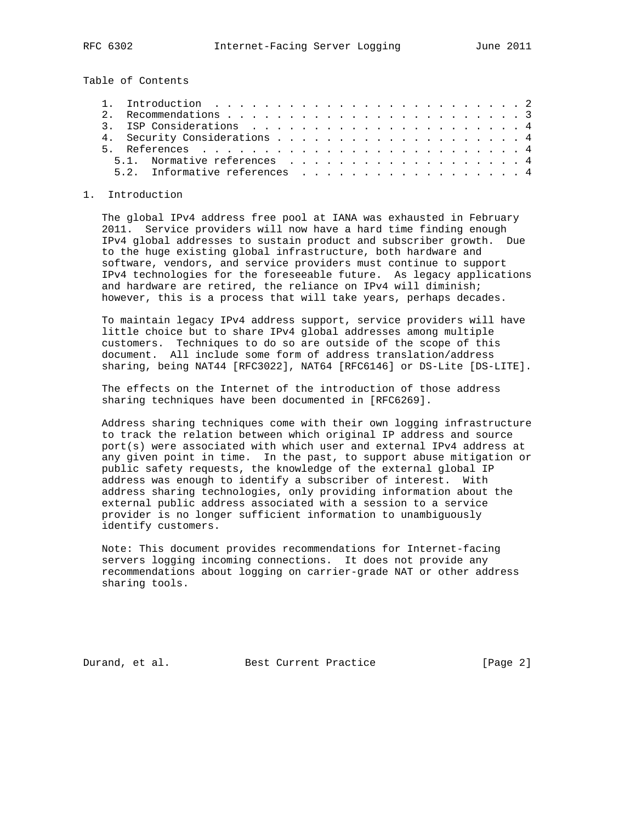Table of Contents

| 5.2. Informative references 4 |
|-------------------------------|
|                               |

## 1. Introduction

 The global IPv4 address free pool at IANA was exhausted in February 2011. Service providers will now have a hard time finding enough IPv4 global addresses to sustain product and subscriber growth. Due to the huge existing global infrastructure, both hardware and software, vendors, and service providers must continue to support IPv4 technologies for the foreseeable future. As legacy applications and hardware are retired, the reliance on IPv4 will diminish; however, this is a process that will take years, perhaps decades.

 To maintain legacy IPv4 address support, service providers will have little choice but to share IPv4 global addresses among multiple customers. Techniques to do so are outside of the scope of this document. All include some form of address translation/address sharing, being NAT44 [RFC3022], NAT64 [RFC6146] or DS-Lite [DS-LITE].

 The effects on the Internet of the introduction of those address sharing techniques have been documented in [RFC6269].

 Address sharing techniques come with their own logging infrastructure to track the relation between which original IP address and source port(s) were associated with which user and external IPv4 address at any given point in time. In the past, to support abuse mitigation or public safety requests, the knowledge of the external global IP address was enough to identify a subscriber of interest. With address sharing technologies, only providing information about the external public address associated with a session to a service provider is no longer sufficient information to unambiguously identify customers.

 Note: This document provides recommendations for Internet-facing servers logging incoming connections. It does not provide any recommendations about logging on carrier-grade NAT or other address sharing tools.

Durand, et al. Best Current Practice [Page 2]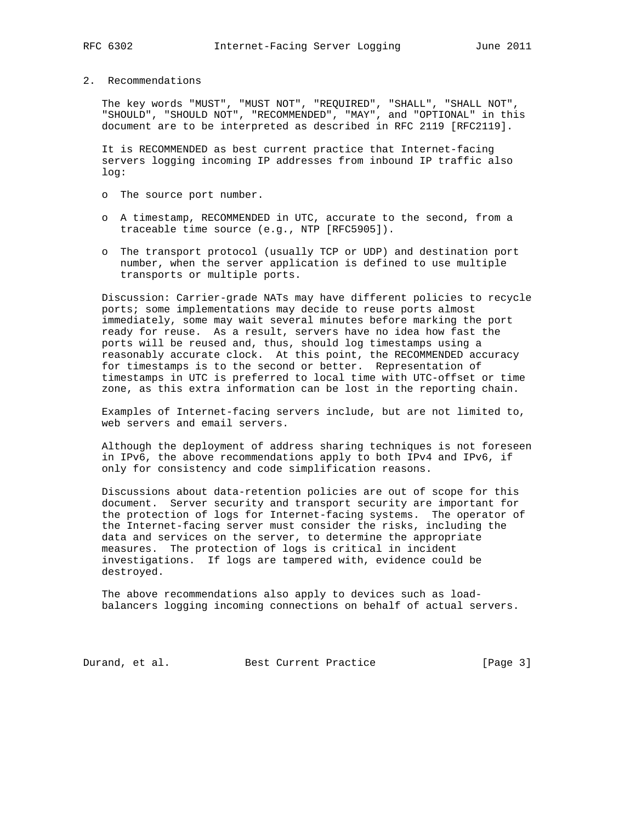## 2. Recommendations

 The key words "MUST", "MUST NOT", "REQUIRED", "SHALL", "SHALL NOT", "SHOULD", "SHOULD NOT", "RECOMMENDED", "MAY", and "OPTIONAL" in this document are to be interpreted as described in RFC 2119 [RFC2119].

 It is RECOMMENDED as best current practice that Internet-facing servers logging incoming IP addresses from inbound IP traffic also log:

- o The source port number.
- o A timestamp, RECOMMENDED in UTC, accurate to the second, from a traceable time source (e.g., NTP [RFC5905]).
- o The transport protocol (usually TCP or UDP) and destination port number, when the server application is defined to use multiple transports or multiple ports.

 Discussion: Carrier-grade NATs may have different policies to recycle ports; some implementations may decide to reuse ports almost immediately, some may wait several minutes before marking the port ready for reuse. As a result, servers have no idea how fast the ports will be reused and, thus, should log timestamps using a reasonably accurate clock. At this point, the RECOMMENDED accuracy for timestamps is to the second or better. Representation of timestamps in UTC is preferred to local time with UTC-offset or time zone, as this extra information can be lost in the reporting chain.

 Examples of Internet-facing servers include, but are not limited to, web servers and email servers.

 Although the deployment of address sharing techniques is not foreseen in IPv6, the above recommendations apply to both IPv4 and IPv6, if only for consistency and code simplification reasons.

 Discussions about data-retention policies are out of scope for this document. Server security and transport security are important for the protection of logs for Internet-facing systems. The operator of the Internet-facing server must consider the risks, including the data and services on the server, to determine the appropriate measures. The protection of logs is critical in incident investigations. If logs are tampered with, evidence could be destroyed.

 The above recommendations also apply to devices such as load balancers logging incoming connections on behalf of actual servers.

Durand, et al. Best Current Practice [Page 3]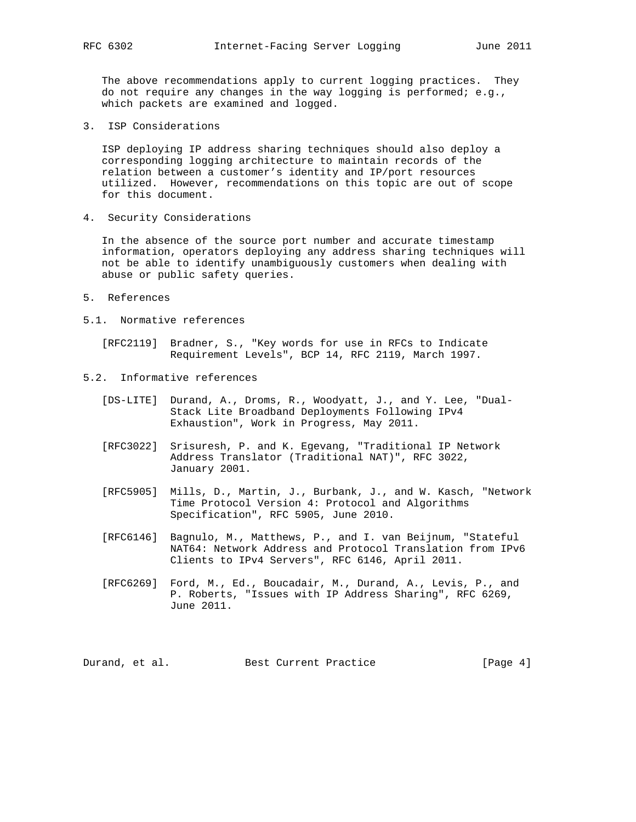The above recommendations apply to current logging practices. They do not require any changes in the way logging is performed; e.g., which packets are examined and logged.

3. ISP Considerations

 ISP deploying IP address sharing techniques should also deploy a corresponding logging architecture to maintain records of the relation between a customer's identity and IP/port resources utilized. However, recommendations on this topic are out of scope for this document.

4. Security Considerations

 In the absence of the source port number and accurate timestamp information, operators deploying any address sharing techniques will not be able to identify unambiguously customers when dealing with abuse or public safety queries.

- 5. References
- 5.1. Normative references

 [RFC2119] Bradner, S., "Key words for use in RFCs to Indicate Requirement Levels", BCP 14, RFC 2119, March 1997.

- 5.2. Informative references
	- [DS-LITE] Durand, A., Droms, R., Woodyatt, J., and Y. Lee, "Dual- Stack Lite Broadband Deployments Following IPv4 Exhaustion", Work in Progress, May 2011.
	- [RFC3022] Srisuresh, P. and K. Egevang, "Traditional IP Network Address Translator (Traditional NAT)", RFC 3022, January 2001.
	- [RFC5905] Mills, D., Martin, J., Burbank, J., and W. Kasch, "Network Time Protocol Version 4: Protocol and Algorithms Specification", RFC 5905, June 2010.
	- [RFC6146] Bagnulo, M., Matthews, P., and I. van Beijnum, "Stateful NAT64: Network Address and Protocol Translation from IPv6 Clients to IPv4 Servers", RFC 6146, April 2011.
	- [RFC6269] Ford, M., Ed., Boucadair, M., Durand, A., Levis, P., and P. Roberts, "Issues with IP Address Sharing", RFC 6269, June 2011.

Durand, et al. Best Current Practice [Page 4]